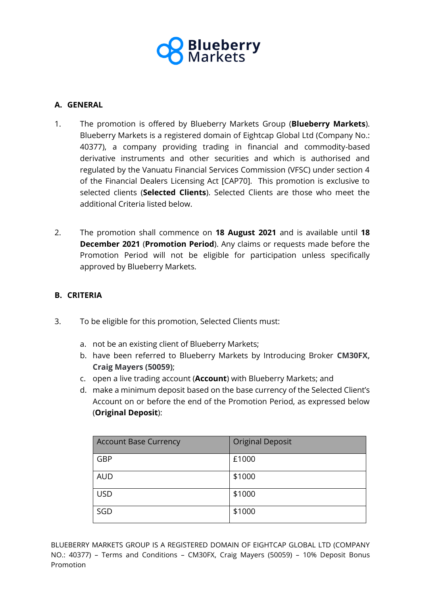

### **A. GENERAL**

- 1. The promotion is offered by Blueberry Markets Group (**Blueberry Markets**). Blueberry Markets is a registered domain of Eightcap Global Ltd (Company No.: 40377), a company providing trading in financial and commodity-based derivative instruments and other securities and which is authorised and regulated by the Vanuatu Financial Services Commission (VFSC) under section 4 of the Financial Dealers Licensing Act [CAP70]. This promotion is exclusive to selected clients (**Selected Clients**). Selected Clients are those who meet the additional Criteria listed below.
- 2. The promotion shall commence on **18 August 2021** and is available until **18 December 2021** (**Promotion Period**). Any claims or requests made before the Promotion Period will not be eligible for participation unless specifically approved by Blueberry Markets.

#### **B. CRITERIA**

- 3. To be eligible for this promotion, Selected Clients must:
	- a. not be an existing client of Blueberry Markets;
	- b. have been referred to Blueberry Markets by Introducing Broker **CM30FX, Craig Mayers (50059)**;
	- c. open a live trading account (**Account**) with Blueberry Markets; and
	- d. make a minimum deposit based on the base currency of the Selected Client's Account on or before the end of the Promotion Period, as expressed below (**Original Deposit**):

| <b>Account Base Currency</b> | <b>Original Deposit</b> |
|------------------------------|-------------------------|
| GBP                          | £1000                   |
| <b>AUD</b>                   | \$1000                  |
| <b>USD</b>                   | \$1000                  |
| SGD                          | \$1000                  |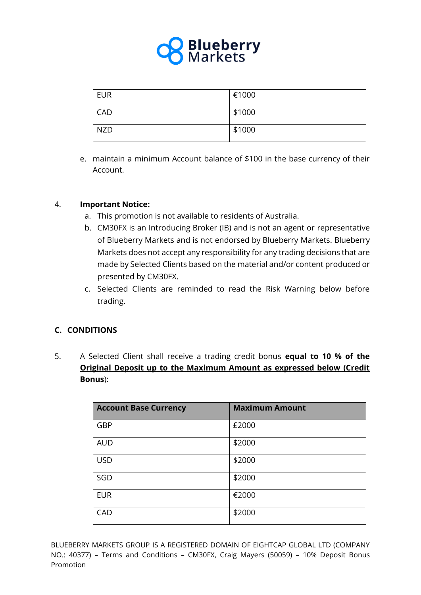

| <b>EUR</b> | €1000  |
|------------|--------|
| <b>CAD</b> | \$1000 |
| <b>NZD</b> | \$1000 |

e. maintain a minimum Account balance of \$100 in the base currency of their Account.

### 4. **Important Notice:**

- a. This promotion is not available to residents of Australia.
- b. CM30FX is an Introducing Broker (IB) and is not an agent or representative of Blueberry Markets and is not endorsed by Blueberry Markets. Blueberry Markets does not accept any responsibility for any trading decisions that are made by Selected Clients based on the material and/or content produced or presented by CM30FX.
- c. Selected Clients are reminded to read the Risk Warning below before trading.

## **C. CONDITIONS**

5. A Selected Client shall receive a trading credit bonus **equal to 10 % of the Original Deposit up to the Maximum Amount as expressed below (Credit Bonus**):

| <b>Account Base Currency</b> | <b>Maximum Amount</b> |
|------------------------------|-----------------------|
| GBP                          | £2000                 |
| <b>AUD</b>                   | \$2000                |
| <b>USD</b>                   | \$2000                |
| SGD                          | \$2000                |
| <b>EUR</b>                   | €2000                 |
| CAD                          | \$2000                |

BLUEBERRY MARKETS GROUP IS A REGISTERED DOMAIN OF EIGHTCAP GLOBAL LTD (COMPANY NO.: 40377) – Terms and Conditions – CM30FX, Craig Mayers (50059) – 10% Deposit Bonus Promotion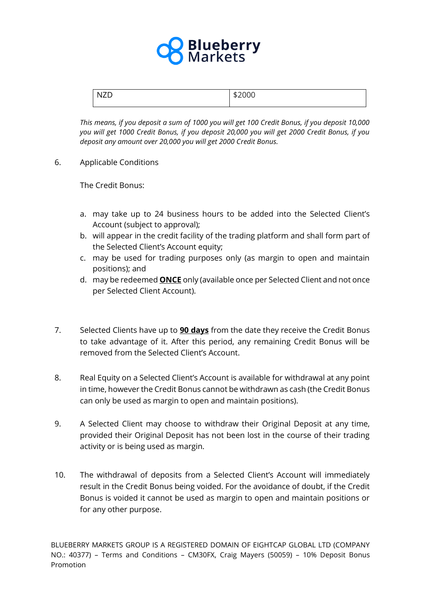

| -- |  |
|----|--|
|----|--|

*This means, if you deposit a sum of 1000 you will get 100 Credit Bonus, if you deposit 10,000 you will get 1000 Credit Bonus, if you deposit 20,000 you will get 2000 Credit Bonus, if you deposit any amount over 20,000 you will get 2000 Credit Bonus.* 

6. Applicable Conditions

The Credit Bonus:

- a. may take up to 24 business hours to be added into the Selected Client's Account (subject to approval);
- b. will appear in the credit facility of the trading platform and shall form part of the Selected Client's Account equity;
- c. may be used for trading purposes only (as margin to open and maintain positions); and
- d. may be redeemed **ONCE** only (available once per Selected Client and not once per Selected Client Account).
- 7. Selected Clients have up to **90 days** from the date they receive the Credit Bonus to take advantage of it. After this period, any remaining Credit Bonus will be removed from the Selected Client's Account.
- 8. Real Equity on a Selected Client's Account is available for withdrawal at any point in time, however the Credit Bonus cannot be withdrawn as cash (the Credit Bonus can only be used as margin to open and maintain positions).
- 9. A Selected Client may choose to withdraw their Original Deposit at any time, provided their Original Deposit has not been lost in the course of their trading activity or is being used as margin.
- 10. The withdrawal of deposits from a Selected Client's Account will immediately result in the Credit Bonus being voided. For the avoidance of doubt, if the Credit Bonus is voided it cannot be used as margin to open and maintain positions or for any other purpose.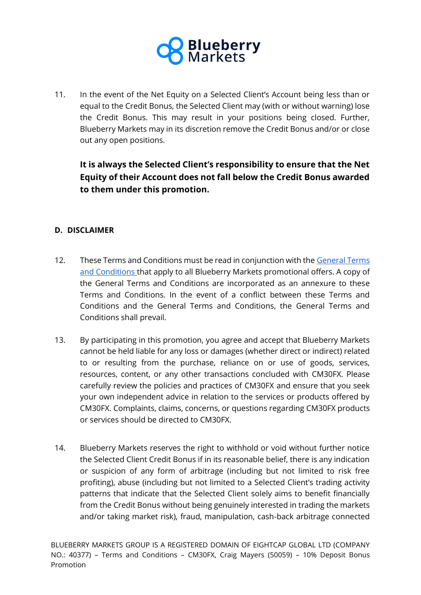

11. In the event of the Net Equity on a Selected Client's Account being less than or equal to the Credit Bonus, the Selected Client may (with or without warning) lose the Credit Bonus. This may result in your positions being closed. Further, Blueberry Markets may in its discretion remove the Credit Bonus and/or or close out any open positions.

**It is always the Selected Client's responsibility to ensure that the Net Equity of their Account does not fall below the Credit Bonus awarded to them under this promotion.**

## **D. DISCLAIMER**

- 12. These Terms and Conditions must be read in conjunction with the General Terms [and Conditions t](https://blueberrymarkets.com/trading/forex-legal-documents/)hat apply to all Blueberry Markets promotional offers. A copy of the General Terms and Conditions are incorporated as an annexure to these Terms and Conditions. In the event of a conflict between these Terms and Conditions and the General Terms and Conditions, the General Terms and Conditions shall prevail.
- 13. By participating in this promotion, you agree and accept that Blueberry Markets cannot be held liable for any loss or damages (whether direct or indirect) related to or resulting from the purchase, reliance on or use of goods, services, resources, content, or any other transactions concluded with CM30FX. Please carefully review the policies and practices of CM30FX and ensure that you seek your own independent advice in relation to the services or products offered by CM30FX. Complaints, claims, concerns, or questions regarding CM30FX products or services should be directed to CM30FX.
- 14. Blueberry Markets reserves the right to withhold or void without further notice the Selected Client Credit Bonus if in its reasonable belief, there is any indication or suspicion of any form of arbitrage (including but not limited to risk free profiting), abuse (including but not limited to a Selected Client's trading activity patterns that indicate that the Selected Client solely aims to benefit financially from the Credit Bonus without being genuinely interested in trading the markets and/or taking market risk), fraud, manipulation, cash-back arbitrage connected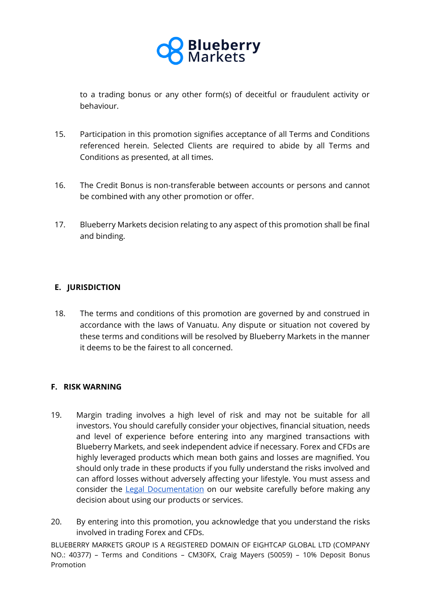

to a trading bonus or any other form(s) of deceitful or fraudulent activity or behaviour.

- 15. Participation in this promotion signifies acceptance of all Terms and Conditions referenced herein. Selected Clients are required to abide by all Terms and Conditions as presented, at all times.
- 16. The Credit Bonus is non-transferable between accounts or persons and cannot be combined with any other promotion or offer.
- 17. Blueberry Markets decision relating to any aspect of this promotion shall be final and binding.

# **E. JURISDICTION**

18. The terms and conditions of this promotion are governed by and construed in accordance with the laws of Vanuatu. Any dispute or situation not covered by these terms and conditions will be resolved by Blueberry Markets in the manner it deems to be the fairest to all concerned.

#### **F. RISK WARNING**

- 19. Margin trading involves a high level of risk and may not be suitable for all investors. You should carefully consider your objectives, financial situation, needs and level of experience before entering into any margined transactions with Blueberry Markets, and seek independent advice if necessary. Forex and CFDs are highly leveraged products which mean both gains and losses are magnified. You should only trade in these products if you fully understand the risks involved and can afford losses without adversely affecting your lifestyle. You must assess and consider the [Legal Documentation](https://blueberrymarkets.com/trading/forex-legal-documents/) on our website carefully before making any decision about using our products or services.
- 20. By entering into this promotion, you acknowledge that you understand the risks involved in trading Forex and CFDs.

BLUEBERRY MARKETS GROUP IS A REGISTERED DOMAIN OF EIGHTCAP GLOBAL LTD (COMPANY NO.: 40377) – Terms and Conditions – CM30FX, Craig Mayers (50059) – 10% Deposit Bonus Promotion